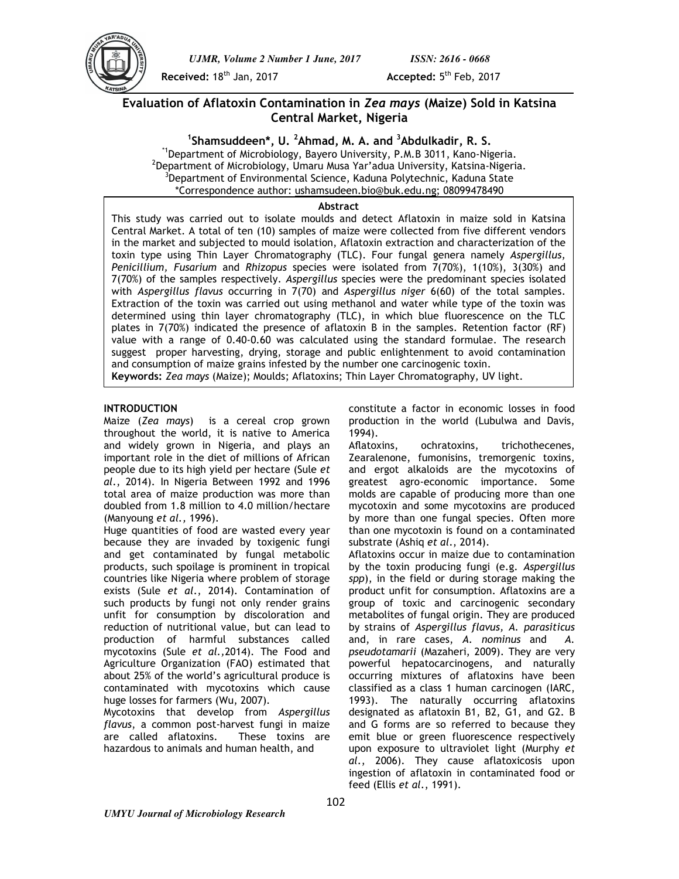

*UJMR, Volume 2 Number 1 June, 2017 ISSN: 2616 - 0668*

**Received: 18<sup>th</sup> Jan, 2017** 

Accepted: 5<sup>th</sup> Feb, 2017

# **Evaluation of Aflatoxin Contamination in** *Zea mays* **(Maize) Sold in Katsina Central Market, Nigeria**

# **1 Shamsuddeen\*, U. <sup>2</sup>Ahmad, M. A. and <sup>3</sup>Abdulkadir, R. S.**

\*1Department of Microbiology, Bayero University, P.M.B 3011, Kano-Nigeria. 2 Department of Microbiology, Umaru Musa Yar'adua University, Katsina-Nigeria. <sup>3</sup>Department of Environmental Science, Kaduna Polytechnic, Kaduna State \*Correspondence author: ushamsudeen.bio@buk.edu.ng; 08099478490

## **Abstract**

This study was carried out to isolate moulds and detect Aflatoxin in maize sold in Katsina Central Market. A total of ten (10) samples of maize were collected from five different vendors in the market and subjected to mould isolation, Aflatoxin extraction and characterization of the toxin type using Thin Layer Chromatography (TLC). Four fungal genera namely *Aspergillus, Penicillium, Fusarium* and *Rhizopus* species were isolated from 7(70%), 1(10%), 3(30%) and 7(70%) of the samples respectively. *Aspergillus* species were the predominant species isolated with *Aspergillus flavus* occurring in 7(70) and *Aspergillus niger* 6(60) of the total samples. Extraction of the toxin was carried out using methanol and water while type of the toxin was determined using thin layer chromatography (TLC), in which blue fluorescence on the TLC plates in 7(70%) indicated the presence of aflatoxin B in the samples. Retention factor (RF) value with a range of 0.40-0.60 was calculated using the standard formulae. The research suggest proper harvesting, drying, storage and public enlightenment to avoid contamination and consumption of maize grains infested by the number one carcinogenic toxin. **Keywords:** *Zea mays* (Maize); Moulds; Aflatoxins; Thin Layer Chromatography, UV light.

## **INTRODUCTION**

Maize (*Zea mays*) is a cereal crop grown throughout the world, it is native to America and widely grown in Nigeria, and plays an important role in the diet of millions of African people due to its high yield per hectare (Sule *et al*., 2014). In Nigeria Between 1992 and 1996 total area of maize production was more than doubled from 1.8 million to 4.0 million/hectare (Manyoung *et al.,* 1996).

Huge quantities of food are wasted every year because they are invaded by toxigenic fungi and get contaminated by fungal metabolic products, such spoilage is prominent in tropical countries like Nigeria where problem of storage exists (Sule *et al*., 2014). Contamination of such products by fungi not only render grains unfit for consumption by discoloration and reduction of nutritional value, but can lead to production of harmful substances called mycotoxins (Sule *et al.,*2014). The Food and Agriculture Organization (FAO) estimated that about 25% of the world's agricultural produce is contaminated with mycotoxins which cause huge losses for farmers (Wu, 2007).

Mycotoxins that develop from *Aspergillus flavus*, a common post-harvest fungi in maize are called aflatoxins. These toxins are hazardous to animals and human health, and

constitute a factor in economic losses in food production in the world (Lubulwa and Davis, 1994).

Aflatoxins, ochratoxins, trichothecenes, Zearalenone, fumonisins, tremorgenic toxins, and ergot alkaloids are the mycotoxins of greatest agro-economic importance. Some molds are capable of producing more than one mycotoxin and some mycotoxins are produced by more than one fungal species. Often more than one mycotoxin is found on a contaminated substrate (Ashiq *et al*., 2014).

Aflatoxins occur in maize due to contamination by the toxin producing fungi (e.g. *Aspergillus spp*), in the field or during storage making the product unfit for consumption. Aflatoxins are a group of toxic and carcinogenic secondary metabolites of fungal origin. They are produced by strains of *Aspergillus flavus, A. parasiticus*  and, in rare cases, *A. nominus* and *A. pseudotamarii* (Mazaheri, 2009). They are very powerful hepatocarcinogens, and naturally occurring mixtures of aflatoxins have been classified as a class 1 human carcinogen (IARC, 1993). The naturally occurring aflatoxins designated as aflatoxin B1, B2, G1, and G2. B and G forms are so referred to because they emit blue or green fluorescence respectively upon exposure to ultraviolet light (Murphy *et al.*, 2006). They cause aflatoxicosis upon ingestion of aflatoxin in contaminated food or feed (Ellis *et al*., 1991).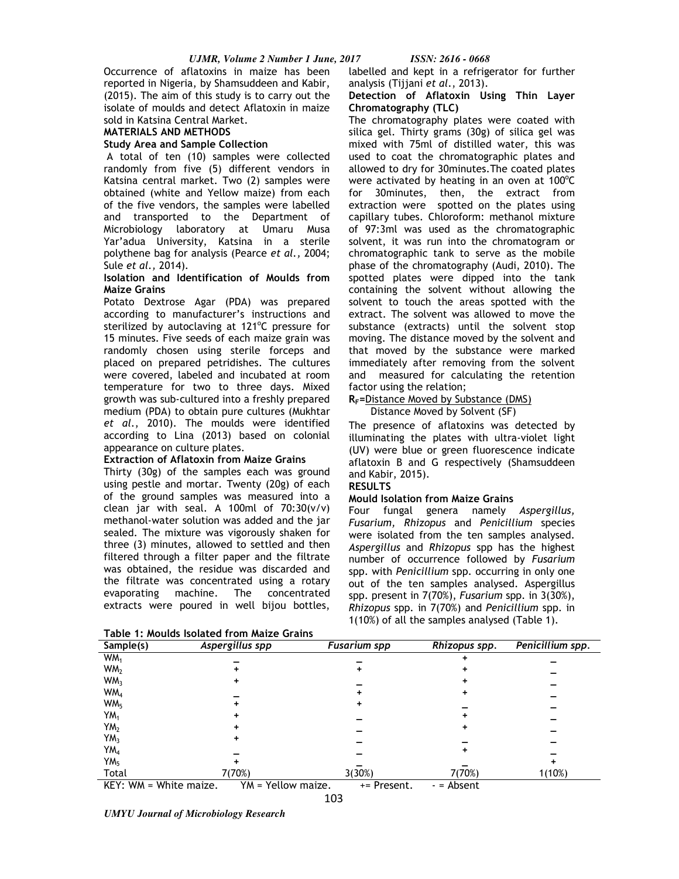Occurrence of aflatoxins in maize has been reported in Nigeria, by Shamsuddeen and Kabir, (2015). The aim of this study is to carry out the isolate of moulds and detect Aflatoxin in maize sold in Katsina Central Market.

## **MATERIALS AND METHODS**

### **Study Area and Sample Collection**

 A total of ten (10) samples were collected randomly from five (5) different vendors in Katsina central market. Two (2) samples were obtained (white and Yellow maize) from each of the five vendors, the samples were labelled and transported to the Department of Microbiology laboratory at Umaru Musa Yar'adua University, Katsina in a sterile polythene bag for analysis (Pearce *et al.,* 2004; Sule *et al.,* 2014).

## **Isolation and Identification of Moulds from Maize Grains**

Potato Dextrose Agar (PDA) was prepared according to manufacturer's instructions and sterilized by autoclaving at 121°C pressure for 15 minutes. Five seeds of each maize grain was randomly chosen using sterile forceps and placed on prepared petridishes. The cultures were covered, labeled and incubated at room temperature for two to three days. Mixed growth was sub-cultured into a freshly prepared medium (PDA) to obtain pure cultures (Mukhtar *et al*., 2010). The moulds were identified according to Lina (2013) based on colonial appearance on culture plates.

## **Extraction of Aflatoxin from Maize Grains**

Thirty (30g) of the samples each was ground using pestle and mortar. Twenty (20g) of each of the ground samples was measured into a clean jar with seal. A 100ml of  $70:30(v/v)$ methanol-water solution was added and the jar sealed. The mixture was vigorously shaken for three (3) minutes, allowed to settled and then filtered through a filter paper and the filtrate was obtained, the residue was discarded and the filtrate was concentrated using a rotary evaporating machine. The concentrated extracts were poured in well bijou bottles,

labelled and kept in a refrigerator for further analysis (Tijjani *et al*., 2013).

### **Detection of Aflatoxin Using Thin Layer Chromatography (TLC)**

The chromatography plates were coated with silica gel. Thirty grams (30g) of silica gel was mixed with 75ml of distilled water, this was used to coat the chromatographic plates and allowed to dry for 30minutes.The coated plates were activated by heating in an oven at 100 $^{\circ}$ C for 30minutes, then, the extract from extraction were spotted on the plates using capillary tubes. Chloroform: methanol mixture of 97:3ml was used as the chromatographic solvent, it was run into the chromatogram or chromatographic tank to serve as the mobile phase of the chromatography (Audi, 2010). The spotted plates were dipped into the tank containing the solvent without allowing the solvent to touch the areas spotted with the extract. The solvent was allowed to move the substance (extracts) until the solvent stop moving. The distance moved by the solvent and that moved by the substance were marked immediately after removing from the solvent and measured for calculating the retention factor using the relation;

## **RF=**Distance Moved by Substance (DMS)

Distance Moved by Solvent (SF)

The presence of aflatoxins was detected by illuminating the plates with ultra-violet light (UV) were blue or green fluorescence indicate aflatoxin B and G respectively (Shamsuddeen and Kabir, 2015).

## **RESULTS**

#### **Mould Isolation from Maize Grains**

Four fungal genera namely *Aspergillus, Fusarium, Rhizopus* and *Penicillium* species were isolated from the ten samples analysed. *Aspergillus* and *Rhizopus* spp has the highest number of occurrence followed by *Fusarium*  spp. with *Penicillium* spp. occurring in only one out of the ten samples analysed. Aspergillus spp. present in 7(70%), *Fusarium* spp. in 3(30%), *Rhizopus* spp. in 7(70%) and *Penicillium* spp. in 1(10%) of all the samples analysed (Table 1).

| Table T. Modius isolated Holli Maize Orallis |                    |                     |               |                  |  |
|----------------------------------------------|--------------------|---------------------|---------------|------------------|--|
| $\overline{\mathsf{Sample}}(s)$              | Aspergillus spp    | <b>Fusarium</b> spp | Rhizopus spp. | Penicillium spp. |  |
| WM <sub>1</sub>                              |                    |                     |               |                  |  |
| WM <sub>2</sub>                              |                    |                     |               |                  |  |
| WM <sub>3</sub>                              | ٠                  |                     |               |                  |  |
| WM <sub>4</sub>                              |                    |                     |               |                  |  |
| WM <sub>5</sub>                              |                    | ٠                   |               |                  |  |
| YM,                                          |                    |                     |               |                  |  |
|                                              |                    |                     |               |                  |  |
| YM <sub>2</sub>                              |                    |                     |               |                  |  |
| YM <sub>3</sub>                              |                    |                     |               |                  |  |
| YM <sub>4</sub>                              |                    |                     | ٠             |                  |  |
| YM <sub>5</sub>                              |                    |                     |               |                  |  |
| Total                                        | 7(70%)             | 3(30%)              | 7(70%)        | 1(10%)           |  |
| KEY: WM = White maize.                       | YM = Yellow maize. | += Present.         | $-$ = Absent  |                  |  |

103

**Table 1: Moulds Isolated from Maize Grains** 

*UMYU Journal of Microbiology Research*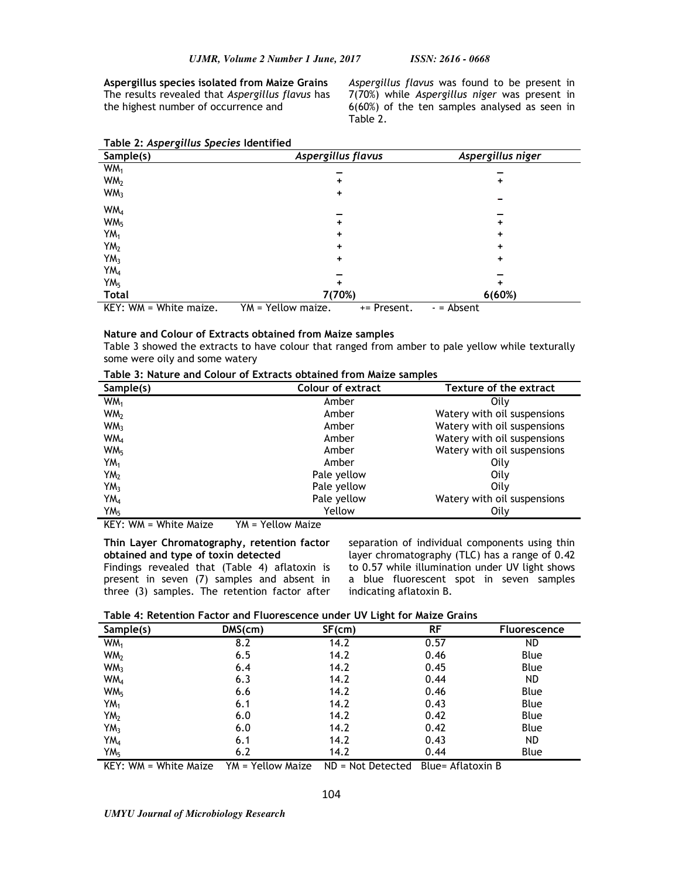**Aspergillus species isolated from Maize Grains**  The results revealed that *Aspergillus flavus* has the highest number of occurrence and

*Aspergillus flavus* was found to be present in 7(70%) while *Aspergillus niger* was present in 6(60%) of the ten samples analysed as seen in Table 2.

| . .<br>. .<br>Sample(s) | Aspergillus flavus                | Aspergillus niger |
|-------------------------|-----------------------------------|-------------------|
| WM <sub>1</sub>         |                                   |                   |
| WM <sub>2</sub>         | ۰                                 | +                 |
| WM <sub>3</sub>         | +                                 |                   |
| WM <sub>4</sub>         |                                   |                   |
| WM <sub>5</sub>         | ٠                                 | +                 |
| YM <sub>1</sub>         | +                                 | +                 |
| YM <sub>2</sub>         | +                                 | +                 |
| YM <sub>3</sub>         | +                                 | +                 |
| YM <sub>4</sub>         |                                   |                   |
| YM <sub>5</sub>         |                                   | ٠                 |
| <b>Total</b>            | 7(70%)                            | 6(60%)            |
| KEY: WM = White maize.  | YM = Yellow maize.<br>+= Present. | - = Absent        |

## **Table 2:** *Aspergillus Species* **Identified**

#### **Nature and Colour of Extracts obtained from Maize samples**

Table 3 showed the extracts to have colour that ranged from amber to pale yellow while texturally some were oily and some watery

| Sample(s)       | <b>Colour of extract</b> | Texture of the extract      |  |
|-----------------|--------------------------|-----------------------------|--|
| WM <sub>1</sub> | Amber                    | Oilv                        |  |
| WM <sub>2</sub> | Amber                    | Watery with oil suspensions |  |
| WM <sub>3</sub> | Amber                    | Watery with oil suspensions |  |
| WM <sub>4</sub> | Amber                    | Watery with oil suspensions |  |
| WM <sub>5</sub> | Amber                    | Watery with oil suspensions |  |
| $YM_1$          | Amber                    | Oily                        |  |
| YM <sub>2</sub> | Pale yellow              | Oily                        |  |
| YM <sub>3</sub> | Pale yellow              | Oilv                        |  |
| YM <sub>4</sub> | Pale yellow              | Watery with oil suspensions |  |
| YM <sub>5</sub> | Yellow                   | Oily                        |  |

KEY: WM = White Maize YM = Yellow Maize

## **Thin Layer Chromatography, retention factor obtained and type of toxin detected**

Findings revealed that (Table 4) aflatoxin is present in seven (7) samples and absent in three (3) samples. The retention factor after

separation of individual components using thin layer chromatography (TLC) has a range of 0.42 to 0.57 while illumination under UV light shows a blue fluorescent spot in seven samples indicating aflatoxin B.

**Table 4: Retention Factor and Fluorescence under UV Light for Maize Grains**

| Sample(s)       | $DMS$ (cm) | $SF$ (cm) | <b>RF</b> | <b>Fluorescence</b> |
|-----------------|------------|-----------|-----------|---------------------|
| WM <sub>1</sub> | 8.2        | 14.2      | 0.57      | ND.                 |
| WM <sub>2</sub> | 6.5        | 14.2      | 0.46      | Blue                |
| WM <sub>3</sub> | 6.4        | 14.2      | 0.45      | Blue                |
| WM <sub>4</sub> | 6.3        | 14.2      | 0.44      | <b>ND</b>           |
| WM <sub>5</sub> | 6.6        | 14.2      | 0.46      | Blue                |
| YM <sub>1</sub> | 6.1        | 14.2      | 0.43      | Blue                |
| YM <sub>2</sub> | 6.0        | 14.2      | 0.42      | Blue                |
| YM <sub>3</sub> | 6.0        | 14.2      | 0.42      | Blue                |
| YM <sub>4</sub> | 6.1        | 14.2      | 0.43      | ND.                 |
| YM <sub>5</sub> | 6.2        | 14.2      | 0.44      | Blue                |

KEY: WM = White Maize YM = Yellow Maize ND = Not Detected Blue= Aflatoxin B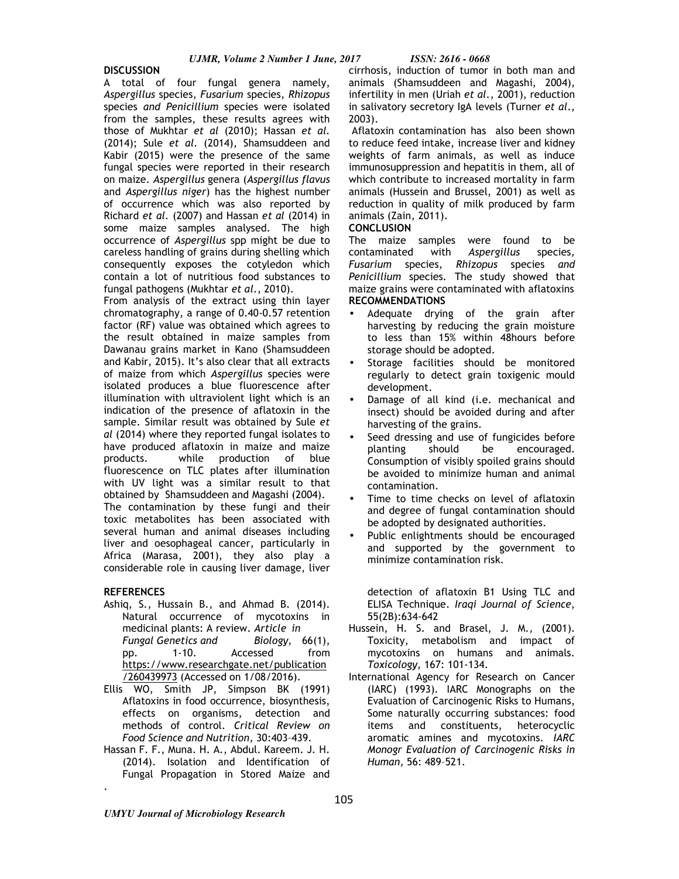### **DISCUSSION**

A total of four fungal genera namely, *Aspergillus* species*, Fusarium* species*, Rhizopus*  species *and Penicillium* species were isolated from the samples, these results agrees with those of Mukhtar *et al* (2010); Hassan *et al.*  (2014); Sule *et al.* (2014), Shamsuddeen and Kabir (2015) were the presence of the same fungal species were reported in their research on maize. *Aspergillus* genera (*Aspergillus flavus* and *Aspergillus niger*) has the highest number of occurrence which was also reported by Richard *et al.* (2007) and Hassan *et al* (2014) in some maize samples analysed. The high occurrence of *Aspergillus* spp might be due to careless handling of grains during shelling which consequently exposes the cotyledon which contain a lot of nutritious food substances to fungal pathogens (Mukhtar *et al*., 2010).

From analysis of the extract using thin layer chromatography, a range of 0.40-0.57 retention factor (RF) value was obtained which agrees to the result obtained in maize samples from Dawanau grains market in Kano (Shamsuddeen and Kabir, 2015). It's also clear that all extracts of maize from which *Aspergillus* species were isolated produces a blue fluorescence after illumination with ultraviolent light which is an indication of the presence of aflatoxin in the sample. Similar result was obtained by Sule *et al* (2014) where they reported fungal isolates to have produced aflatoxin in maize and maize products. while production of blue fluorescence on TLC plates after illumination with UV light was a similar result to that obtained by Shamsuddeen and Magashi (2004). The contamination by these fungi and their toxic metabolites has been associated with several human and animal diseases including liver and oesophageal cancer, particularly in Africa (Marasa, 2001), they also play a considerable role in causing liver damage, liver

## **REFERENCES**

.

- Ashiq, S., Hussain B., and Ahmad B. (2014). Natural occurrence of mycotoxins in medicinal plants: A review. *Article in Fungal Genetics and Biology,* 66(1), pp. 1-10. Accessed from https://www.researchgate.net/publication /260439973 (Accessed on 1/08/2016).
- Ellis WO, Smith JP, Simpson BK (1991) Aflatoxins in food occurrence, biosynthesis, effects on organisms, detection and methods of control. *Critical Review on Food Science and Nutrition,* 30:403–439.
- Hassan F. F., Muna. H. A., Abdul. Kareem. J. H. (2014). Isolation and Identification of Fungal Propagation in Stored Maize and

cirrhosis, induction of tumor in both man and animals (Shamsuddeen and Magashi, 2004), infertility in men (Uriah *et al.*, 2001), reduction in salivatory secretory IgA levels (Turner *et al*., 2003).

 Aflatoxin contamination has also been shown to reduce feed intake, increase liver and kidney weights of farm animals, as well as induce immunosuppression and hepatitis in them, all of which contribute to increased mortality in farm animals (Hussein and Brussel, 2001) as well as reduction in quality of milk produced by farm animals (Zain, 2011).

## **CONCLUSION**

The maize samples were found to be contaminated with *Aspergillus* species*, Fusarium* species*, Rhizopus* species *and Penicillium* species*.* The study showed that maize grains were contaminated with aflatoxins **RECOMMENDATIONS**

- Adequate drying of the grain after harvesting by reducing the grain moisture to less than 15% within 48hours before storage should be adopted.
- Storage facilities should be monitored regularly to detect grain toxigenic mould development.
- Damage of all kind (i.e. mechanical and insect) should be avoided during and after harvesting of the grains.
- Seed dressing and use of fungicides before planting should be encouraged. Consumption of visibly spoiled grains should be avoided to minimize human and animal contamination.
- Time to time checks on level of aflatoxin and degree of fungal contamination should be adopted by designated authorities.
- Public enlightments should be encouraged and supported by the government to minimize contamination risk.

detection of aflatoxin B1 Using TLC and ELISA Technique. *Iraqi Journal of Science*, 55(2B):634-642

- Hussein, H. S. and Brasel, J. M., (2001). Toxicity, metabolism and impact of mycotoxins on humans and animals. *Toxicology,* 167: 101-134.
- International Agency for Research on Cancer (IARC) (1993). IARC Monographs on the Evaluation of Carcinogenic Risks to Humans, Some naturally occurring substances: food items and constituents, heterocyclic aromatic amines and mycotoxins. *IARC Monogr Evaluation of Carcinogenic Risks in Human,* 56: 489–521.

*UMYU Journal of Microbiology Research*